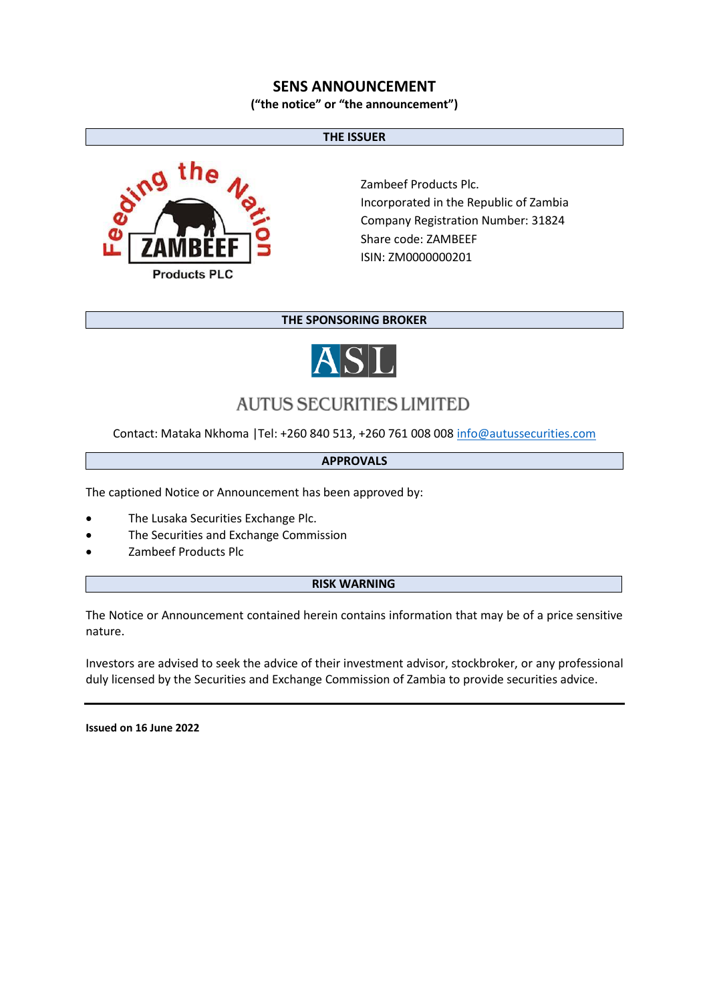## **SENS ANNOUNCEMENT**

**("the notice" or "the announcement")**

#### **THE ISSUER**



Zambeef Products Plc. Incorporated in the Republic of Zambia Company Registration Number: 31824 Share code: ZAMBEEF ISIN: ZM0000000201

### **THE SPONSORING BROKER**



# **AUTUS SECURITIES LIMITED**

Contact: Mataka Nkhoma |Tel: +260 840 513, +260 761 008 00[8 info@autussecurities.com](mailto:info@autussecurities.com)

#### **APPROVALS**

The captioned Notice or Announcement has been approved by:

- The Lusaka Securities Exchange Plc.
- The Securities and Exchange Commission
- Zambeef Products Plc

#### **RISK WARNING**

The Notice or Announcement contained herein contains information that may be of a price sensitive nature.

Investors are advised to seek the advice of their investment advisor, stockbroker, or any professional duly licensed by the Securities and Exchange Commission of Zambia to provide securities advice.

**Issued on 16 June 2022**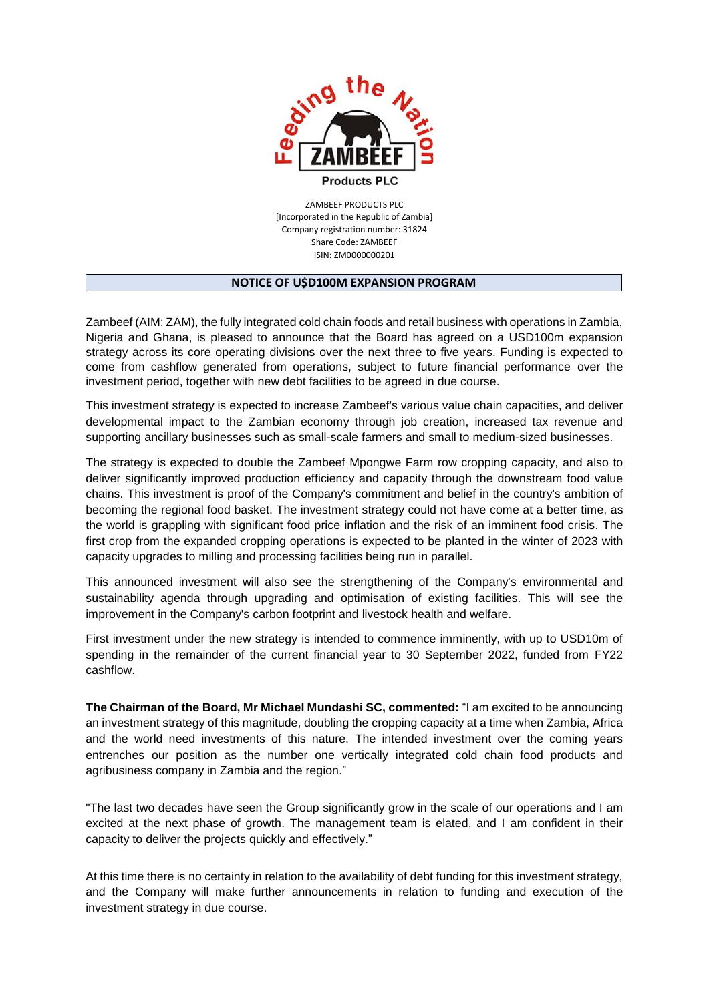

ZAMBEEF PRODUCTS PLC [Incorporated in the Republic of Zambia] Company registration number: 31824 Share Code: ZAMBEEF ISIN: ZM0000000201

#### **NOTICE OF U\$D100M EXPANSION PROGRAM**

Zambeef (AIM: ZAM), the fully integrated cold chain foods and retail business with operations in Zambia, Nigeria and Ghana, is pleased to announce that the Board has agreed on a USD100m expansion strategy across its core operating divisions over the next three to five years. Funding is expected to come from cashflow generated from operations, subject to future financial performance over the investment period, together with new debt facilities to be agreed in due course.

This investment strategy is expected to increase Zambeef's various value chain capacities, and deliver developmental impact to the Zambian economy through job creation, increased tax revenue and supporting ancillary businesses such as small-scale farmers and small to medium-sized businesses.

The strategy is expected to double the Zambeef Mpongwe Farm row cropping capacity, and also to deliver significantly improved production efficiency and capacity through the downstream food value chains. This investment is proof of the Company's commitment and belief in the country's ambition of becoming the regional food basket. The investment strategy could not have come at a better time, as the world is grappling with significant food price inflation and the risk of an imminent food crisis. The first crop from the expanded cropping operations is expected to be planted in the winter of 2023 with capacity upgrades to milling and processing facilities being run in parallel.

This announced investment will also see the strengthening of the Company's environmental and sustainability agenda through upgrading and optimisation of existing facilities. This will see the improvement in the Company's carbon footprint and livestock health and welfare.

First investment under the new strategy is intended to commence imminently, with up to USD10m of spending in the remainder of the current financial year to 30 September 2022, funded from FY22 cashflow.

**The Chairman of the Board, Mr Michael Mundashi SC, commented:** "I am excited to be announcing an investment strategy of this magnitude, doubling the cropping capacity at a time when Zambia, Africa and the world need investments of this nature. The intended investment over the coming years entrenches our position as the number one vertically integrated cold chain food products and agribusiness company in Zambia and the region."

"The last two decades have seen the Group significantly grow in the scale of our operations and I am excited at the next phase of growth. The management team is elated, and I am confident in their capacity to deliver the projects quickly and effectively."

At this time there is no certainty in relation to the availability of debt funding for this investment strategy, and the Company will make further announcements in relation to funding and execution of the investment strategy in due course.